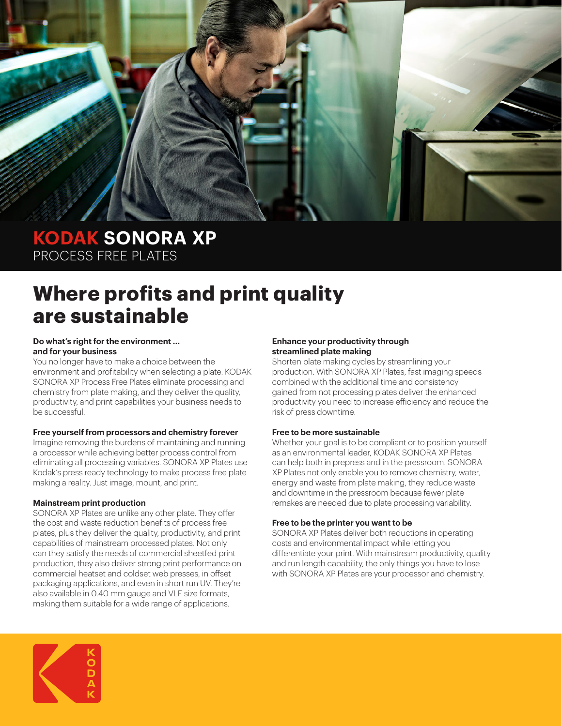

### **KODAK SONORA XP** PROCESS FREE PLATES

# **Where profits and print quality are sustainable**

#### **Do what's right for the environment ... and for your business**

You no longer have to make a choice between the environment and profitability when selecting a plate. KODAK SONORA XP Process Free Plates eliminate processing and chemistry from plate making, and they deliver the quality, productivity, and print capabilities your business needs to be successful.

#### **Free yourself from processors and chemistry forever**

Imagine removing the burdens of maintaining and running a processor while achieving better process control from eliminating all processing variables. SONORA XP Plates use Kodak's press ready technology to make process free plate making a reality. Just image, mount, and print.

### **Mainstream print production**

SONORA XP Plates are unlike any other plate. They offer the cost and waste reduction benefits of process free plates, plus they deliver the quality, productivity, and print capabilities of mainstream processed plates. Not only can they satisfy the needs of commercial sheetfed print production, they also deliver strong print performance on commercial heatset and coldset web presses, in offset packaging applications, and even in short run UV. They're also available in 0.40 mm gauge and VLF size formats, making them suitable for a wide range of applications.

#### **Enhance your productivity through streamlined plate making**

Shorten plate making cycles by streamlining your production. With SONORA XP Plates, fast imaging speeds combined with the additional time and consistency gained from not processing plates deliver the enhanced productivity you need to increase efficiency and reduce the risk of press downtime.

#### **Free to be more sustainable**

Whether your goal is to be compliant or to position yourself as an environmental leader, KODAK SONORA XP Plates can help both in prepress and in the pressroom. SONORA XP Plates not only enable you to remove chemistry, water, energy and waste from plate making, they reduce waste and downtime in the pressroom because fewer plate remakes are needed due to plate processing variability.

#### **Free to be the printer you want to be**

SONORA XP Plates deliver both reductions in operating costs and environmental impact while letting you differentiate your print. With mainstream productivity, quality and run length capability, the only things you have to lose with SONORA XP Plates are your processor and chemistry.